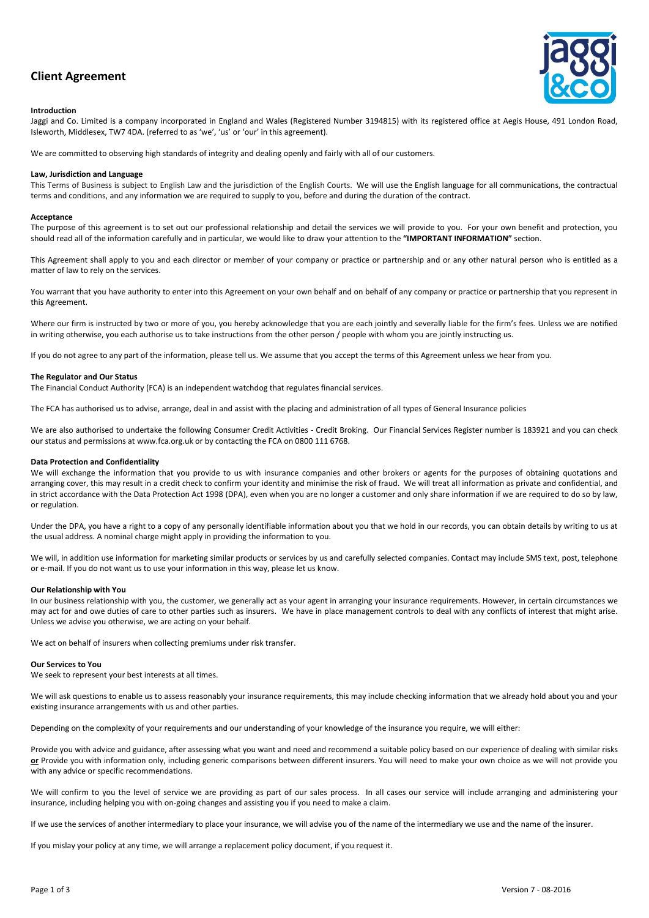# **Client Agreement**



#### **Introduction**

Jaggi and Co. Limited is a company incorporated in England and Wales (Registered Number 3194815) with its registered office at Aegis House, 491 London Road, Isleworth, Middlesex, TW7 4DA. (referred to as 'we', 'us' or 'our' in this agreement).

We are committed to observing high standards of integrity and dealing openly and fairly with all of our customers.

## **Law, Jurisdiction and Language**

This Terms of Business is subject to English Law and the jurisdiction of the English Courts. We will use the English language for all communications, the contractual terms and conditions, and any information we are required to supply to you, before and during the duration of the contract.

#### **Acceptance**

The purpose of this agreement is to set out our professional relationship and detail the services we will provide to you. For your own benefit and protection, you should read all of the information carefully and in particular, we would like to draw your attention to the **"IMPORTANT INFORMATION"** section.

This Agreement shall apply to you and each director or member of your company or practice or partnership and or any other natural person who is entitled as a matter of law to rely on the services.

You warrant that you have authority to enter into this Agreement on your own behalf and on behalf of any company or practice or partnership that you represent in this Agreement.

Where our firm is instructed by two or more of you, you hereby acknowledge that you are each jointly and severally liable for the firm's fees. Unless we are notified in writing otherwise, you each authorise us to take instructions from the other person / people with whom you are jointly instructing us.

If you do not agree to any part of the information, please tell us. We assume that you accept the terms of this Agreement unless we hear from you.

#### **The Regulator and Our Status**

The Financial Conduct Authority (FCA) is an independent watchdog that regulates financial services.

The FCA has authorised us to advise, arrange, deal in and assist with the placing and administration of all types of General Insurance policies

We are also authorised to undertake the following Consumer Credit Activities - Credit Broking. Our Financial Services Register number is 183921 and you can check our status and permissions at www.fca.org.uk or by contacting the FCA on 0800 111 6768.

# **Data Protection and Confidentiality**

We will exchange the information that you provide to us with insurance companies and other brokers or agents for the purposes of obtaining quotations and arranging cover, this may result in a credit check to confirm your identity and minimise the risk of fraud. We will treat all information as private and confidential, and in strict accordance with the Data Protection Act 1998 (DPA), even when you are no longer a customer and only share information if we are required to do so by law, or regulation.

Under the DPA, you have a right to a copy of any personally identifiable information about you that we hold in our records, you can obtain details by writing to us at the usual address. A nominal charge might apply in providing the information to you.

We will, in addition use information for marketing similar products or services by us and carefully selected companies. Contact may include SMS text, post, telephone or e-mail. If you do not want us to use your information in this way, please let us know.

# **Our Relationship with You**

In our business relationship with you, the customer, we generally act as your agent in arranging your insurance requirements. However, in certain circumstances we may act for and owe duties of care to other parties such as insurers. We have in place management controls to deal with any conflicts of interest that might arise. Unless we advise you otherwise, we are acting on your behalf.

We act on behalf of insurers when collecting premiums under risk transfer.

#### **Our Services to You**

We seek to represent your best interests at all times.

We will ask questions to enable us to assess reasonably your insurance requirements, this may include checking information that we already hold about you and your existing insurance arrangements with us and other parties.

Depending on the complexity of your requirements and our understanding of your knowledge of the insurance you require, we will either:

Provide you with advice and guidance, after assessing what you want and need and recommend a suitable policy based on our experience of dealing with similar risks **or** Provide you with information only, including generic comparisons between different insurers. You will need to make your own choice as we will not provide you with any advice or specific recommendations.

We will confirm to you the level of service we are providing as part of our sales process. In all cases our service will include arranging and administering your insurance, including helping you with on-going changes and assisting you if you need to make a claim.

If we use the services of another intermediary to place your insurance, we will advise you of the name of the intermediary we use and the name of the insurer.

If you mislay your policy at any time, we will arrange a replacement policy document, if you request it.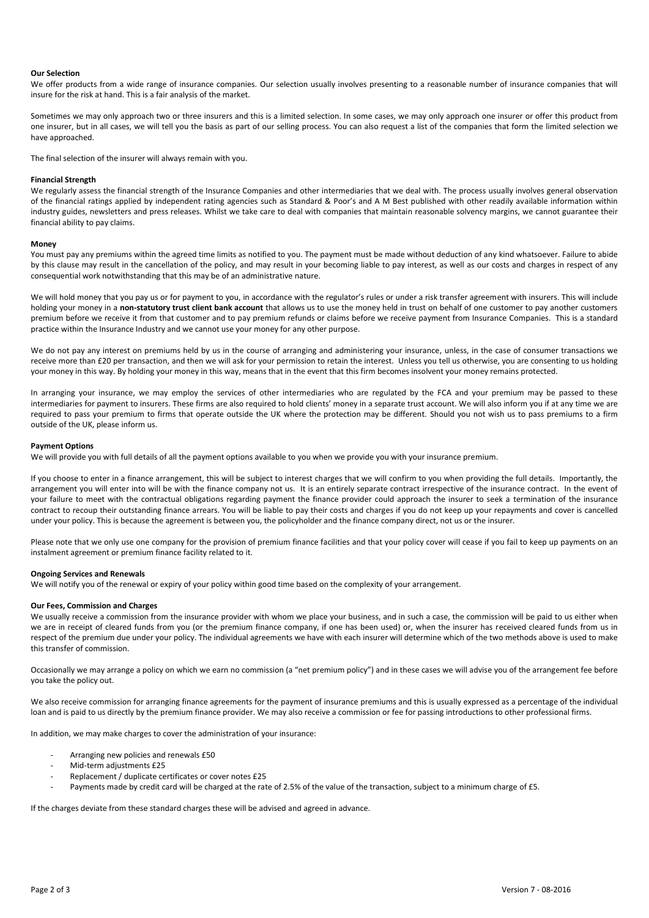### **Our Selection**

We offer products from a wide range of insurance companies. Our selection usually involves presenting to a reasonable number of insurance companies that will insure for the risk at hand. This is a fair analysis of the market.

Sometimes we may only approach two or three insurers and this is a limited selection. In some cases, we may only approach one insurer or offer this product from one insurer, but in all cases, we will tell you the basis as part of our selling process. You can also request a list of the companies that form the limited selection we have approached.

The final selection of the insurer will always remain with you.

# **Financial Strength**

We regularly assess the financial strength of the Insurance Companies and other intermediaries that we deal with. The process usually involves general observation of the financial ratings applied by independent rating agencies such as Standard & Poor's and A M Best published with other readily available information within industry guides, newsletters and press releases. Whilst we take care to deal with companies that maintain reasonable solvency margins, we cannot guarantee their financial ability to pay claims.

#### **Money**

You must pay any premiums within the agreed time limits as notified to you. The payment must be made without deduction of any kind whatsoever. Failure to abide by this clause may result in the cancellation of the policy, and may result in your becoming liable to pay interest, as well as our costs and charges in respect of any consequential work notwithstanding that this may be of an administrative nature.

We will hold money that you pay us or for payment to you, in accordance with the regulator's rules or under a risk transfer agreement with insurers. This will include holding your money in a **non-statutory trust client bank account** that allows us to use the money held in trust on behalf of one customer to pay another customers premium before we receive it from that customer and to pay premium refunds or claims before we receive payment from Insurance Companies. This is a standard practice within the Insurance Industry and we cannot use your money for any other purpose.

We do not pay any interest on premiums held by us in the course of arranging and administering your insurance, unless, in the case of consumer transactions we receive more than £20 per transaction, and then we will ask for your permission to retain the interest. Unless you tell us otherwise, you are consenting to us holding your money in this way. By holding your money in this way, means that in the event that this firm becomes insolvent your money remains protected.

In arranging your insurance, we may employ the services of other intermediaries who are regulated by the FCA and your premium may be passed to these intermediaries for payment to insurers. These firms are also required to hold clients' money in a separate trust account. We will also inform you if at any time we are required to pass your premium to firms that operate outside the UK where the protection may be different. Should you not wish us to pass premiums to a firm outside of the UK, please inform us.

# **Payment Options**

We will provide you with full details of all the payment options available to you when we provide you with your insurance premium.

If you choose to enter in a finance arrangement, this will be subject to interest charges that we will confirm to you when providing the full details. Importantly, the arrangement you will enter into will be with the finance company not us. It is an entirely separate contract irrespective of the insurance contract. In the event of your failure to meet with the contractual obligations regarding payment the finance provider could approach the insurer to seek a termination of the insurance contract to recoup their outstanding finance arrears. You will be liable to pay their costs and charges if you do not keep up your repayments and cover is cancelled under your policy. This is because the agreement is between you, the policyholder and the finance company direct, not us or the insurer.

Please note that we only use one company for the provision of premium finance facilities and that your policy cover will cease if you fail to keep up payments on an instalment agreement or premium finance facility related to it.

#### **Ongoing Services and Renewals**

We will notify you of the renewal or expiry of your policy within good time based on the complexity of your arrangement.

# **Our Fees, Commission and Charges**

We usually receive a commission from the insurance provider with whom we place your business, and in such a case, the commission will be paid to us either when we are in receipt of cleared funds from you (or the premium finance company, if one has been used) or, when the insurer has received cleared funds from us in respect of the premium due under your policy. The individual agreements we have with each insurer will determine which of the two methods above is used to make this transfer of commission.

Occasionally we may arrange a policy on which we earn no commission (a "net premium policy") and in these cases we will advise you of the arrangement fee before you take the policy out.

We also receive commission for arranging finance agreements for the payment of insurance premiums and this is usually expressed as a percentage of the individual loan and is paid to us directly by the premium finance provider. We may also receive a commission or fee for passing introductions to other professional firms.

In addition, we may make charges to cover the administration of your insurance:

- Arranging new policies and renewals £50
- Mid-term adjustments £25
- Replacement / duplicate certificates or cover notes £25
- Payments made by credit card will be charged at the rate of 2.5% of the value of the transaction, subject to a minimum charge of £5.

If the charges deviate from these standard charges these will be advised and agreed in advance.